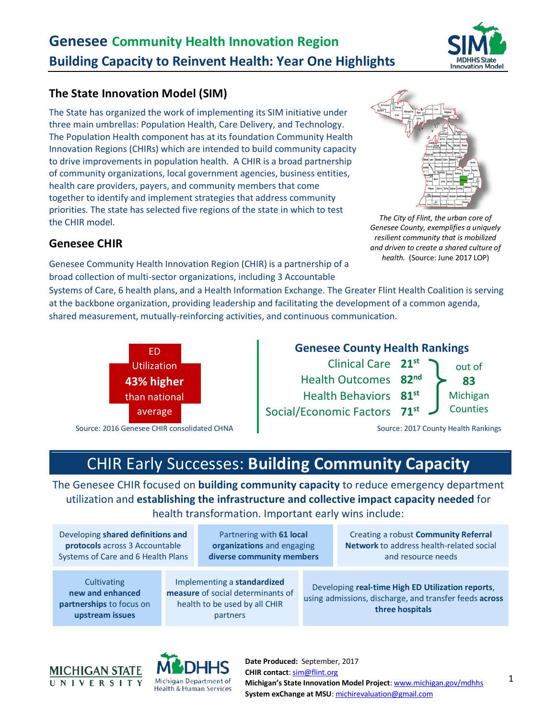## **The State Innovation Model (SIM)**

The State has organized the work of implementing its SIM initiative under three main umbrellas: Population Health, Care Delivery, and Technology. The Population Health component has at its foundation Community Health Innovation Regions (CHIRs) which are intended to build community capacity to drive improvements in population health. A CHIR is a broad partnership of community organizations, local government agencies, business entities, health care providers, payers, and community members that come together to identify and implement strategies that address community priorities. The state has selected five regions of the state in which to test the CHIR model.

### **Genesee CHIR**

Genesee Community Health Innovation Region (CHIR) is a partnership of a broad collection of multi-sector organizations, including 3 Accountable

Systems of Care, 6 health plans, and a Health Information Exchange. The Greater Flint Health Coalition is serving at the backbone organization, providing leadership and facilitating the development of a common agenda, shared measurement, mutually-reinforcing activities, and continuous communication.



#### **Genesee County Health Rankings** Clinical Care 21<sup>st</sup> and out of **83** Michigan **Counties** Health Outcomes **82nd** Health Behaviors **81st** Social/Economic Factors **71st**

# CHIR Early Successes: **Building Community Capacity**

The Genesee CHIR focused on **building community capacity** to reduce emergency department utilization and **establishing the infrastructure and collective impact capacity needed** for health transformation. Important early wins include:

Developing **shared definitions and protocols** across 3 Accountable Systems of Care and 6 Health Plans

Partnering with **61 local organizations** and engaging **diverse community members**

**Cultivating new and enhanced partnerships** to focus on **upstream issues**

Implementing a **standardized measure** of social determinants of health to be used by all CHIR partners

Creating a robust **Community Referral Network** to address health-related social and resource needs

Developing **real-time High ED Utilization reports**, using admissions, discharge, and transfer feeds **across three hospitals**



**Date Produced:** September, 2017 **CHIR contact**[: sim@flint.org](mailto:sim@flint.org) **Michigan's State Innovation Model Project**[: www.michigan.gov/mdhhs](http://www.michigan.gov/mdhhs) **System exChange at MSU**: [michirevaluation@gmail.com](mailto:michirevaluation@gmail.com)





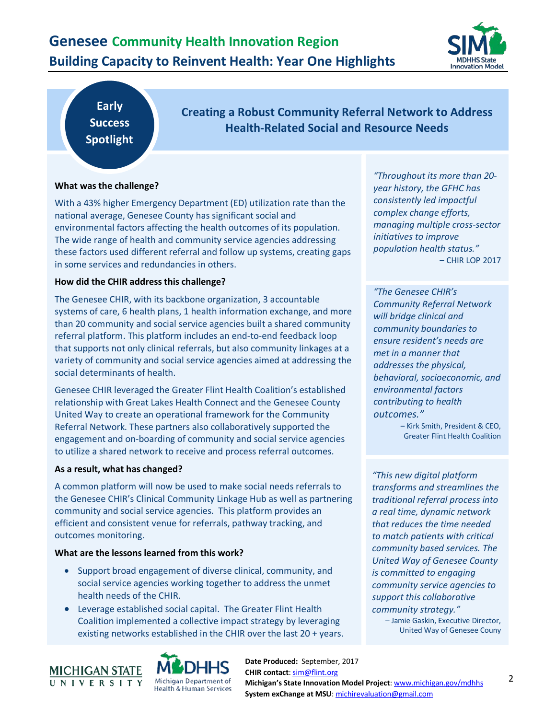## **Genesee Community Health Innovation Region Building Capacity to Reinvent Health: Year One Highlights**



**Early Success Spotlight**

**Creating a Robust Community Referral Network to Address Health-Related Social and Resource Needs**

#### **What was the challenge?**

With a 43% higher Emergency Department (ED) utilization rate than the national average, Genesee County has significant social and environmental factors affecting the health outcomes of its population. The wide range of health and community service agencies addressing these factors used different referral and follow up systems, creating gaps in some services and redundancies in others.

#### **How did the CHIR address this challenge?**

The Genesee CHIR, with its backbone organization, 3 accountable systems of care, 6 health plans, 1 health information exchange, and more than 20 community and social service agencies built a shared community referral platform. This platform includes an end-to-end feedback loop that supports not only clinical referrals, but also community linkages at a variety of community and social service agencies aimed at addressing the social determinants of health.

Genesee CHIR leveraged the Greater Flint Health Coalition's established relationship with Great Lakes Health Connect and the Genesee County United Way to create an operational framework for the Community Referral Network. These partners also collaboratively supported the engagement and on-boarding of community and social service agencies to utilize a shared network to receive and process referral outcomes.

#### **As a result, what has changed?**

A common platform will now be used to make social needs referrals to the Genesee CHIR's Clinical Community Linkage Hub as well as partnering community and social service agencies. This platform provides an efficient and consistent venue for referrals, pathway tracking, and outcomes monitoring.

#### **What are the lessons learned from this work?**

- Support broad engagement of diverse clinical, community, and social service agencies working together to address the unmet health needs of the CHIR.
- Leverage established social capital. The Greater Flint Health Coalition implemented a collective impact strategy by leveraging existing networks established in the CHIR over the last 20 + years.





**Date Produced:** September, 2017 **CHIR contact**[: sim@flint.org](mailto:sim@flint.org) **Michigan's State Innovation Model Project**[: www.michigan.gov/mdhhs](http://www.michigan.gov/mdhhs) **System exChange at MSU**: [michirevaluation@gmail.com](mailto:michirevaluation@gmail.com)

*"Throughout its more than 20 year history, the GFHC has consistently led impactful complex change efforts, managing multiple cross-sector initiatives to improve population health status."*  – CHIR LOP 2017

*"The Genesee CHIR's Community Referral Network will bridge clinical and community boundaries to ensure resident's needs are met in a manner that addresses the physical, behavioral, socioeconomic, and environmental factors contributing to health outcomes."* 

> – Kirk Smith, President & CEO, Greater Flint Health Coalition

*"This new digital platform transforms and streamlines the traditional referral process into a real time, dynamic network that reduces the time needed to match patients with critical community based services. The United Way of Genesee County is committed to engaging community service agencies to support this collaborative community strategy."*

– Jamie Gaskin, Executive Director, United Way of Genesee Couny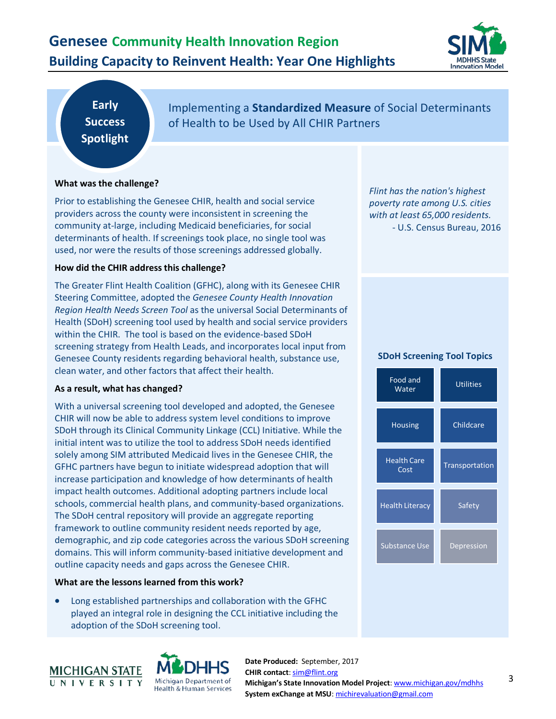## **Genesee Community Health Innovation Region Building Capacity to Reinvent Health: Year One Highlights**



**Early Success Spotlight**

Implementing a **Standardized Measure** of Social Determinants of Health to be Used by All CHIR Partners

#### **What was the challenge?**

Prior to establishing the Genesee CHIR, health and social service providers across the county were inconsistent in screening the community at-large, including Medicaid beneficiaries, for social determinants of health. If screenings took place, no single tool was used, nor were the results of those screenings addressed globally.

#### **How did the CHIR address this challenge?**

The Greater Flint Health Coalition (GFHC), along with its Genesee CHIR Steering Committee, adopted the *Genesee County Health Innovation Region Health Needs Screen Tool* as the universal Social Determinants of Health (SDoH) screening tool used by health and social service providers within the CHIR. The tool is based on the evidence-based SDoH screening strategy from Health Leads, and incorporates local input from Genesee County residents regarding behavioral health, substance use, clean water, and other factors that affect their health.

#### **As a result, what has changed?**

With a universal screening tool developed and adopted, the Genesee CHIR will now be able to address system level conditions to improve SDoH through its Clinical Community Linkage (CCL) Initiative. While the initial intent was to utilize the tool to address SDoH needs identified solely among SIM attributed Medicaid lives in the Genesee CHIR, the GFHC partners have begun to initiate widespread adoption that will increase participation and knowledge of how determinants of health impact health outcomes. Additional adopting partners include local schools, commercial health plans, and community-based organizations. The SDoH central repository will provide an aggregate reporting framework to outline community resident needs reported by age, demographic, and zip code categories across the various SDoH screening domains. This will inform community-based initiative development and outline capacity needs and gaps across the Genesee CHIR.

#### **What are the lessons learned from this work?**

• Long established partnerships and collaboration with the GFHC played an integral role in designing the CCL initiative including the adoption of the SDoH screening tool.



**Date Produced:** September, 2017 **CHIR contact**[: sim@flint.org](mailto:sim@flint.org) **Michigan's State Innovation Model Project**[: www.michigan.gov/mdhhs](http://www.michigan.gov/mdhhs) **System exChange at MSU**: [michirevaluation@gmail.com](mailto:michirevaluation@gmail.com)

*Flint has the nation's highest poverty rate among U.S. cities with at least 65,000 residents.*

- U.S. Census Bureau, 2016

#### **SDoH Screening Tool Topics**